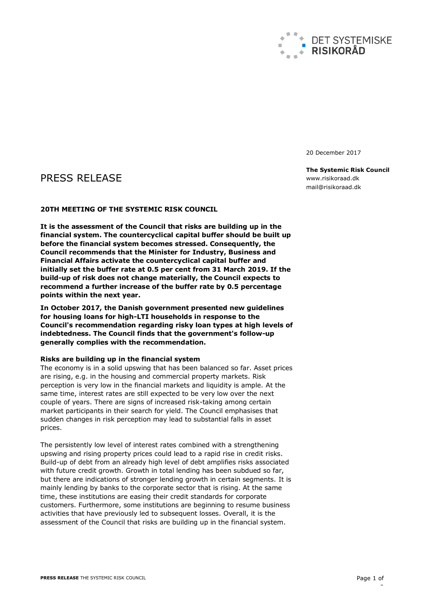

20 December 2017

# PRESS RELEASE

### **20TH MEETING OF THE SYSTEMIC RISK COUNCIL**

**It is the assessment of the Council that risks are building up in the financial system. The countercyclical capital buffer should be built up before the financial system becomes stressed. Consequently, the Council recommends that the Minister for Industry, Business and Financial Affairs activate the countercyclical capital buffer and initially set the buffer rate at 0.5 per cent from 31 March 2019. If the build-up of risk does not change materially, the Council expects to recommend a further increase of the buffer rate by 0.5 percentage points within the next year.**

**In October 2017, the Danish government presented new guidelines for housing loans for high-LTI households in response to the Council's recommendation regarding risky loan types at high levels of indebtedness. The Council finds that the government's follow-up generally complies with the recommendation.** 

#### **Risks are building up in the financial system**

The economy is in a solid upswing that has been balanced so far. Asset prices are rising, e.g. in the housing and commercial property markets. Risk perception is very low in the financial markets and liquidity is ample. At the same time, interest rates are still expected to be very low over the next couple of years. There are signs of increased risk-taking among certain market participants in their search for yield. The Council emphasises that sudden changes in risk perception may lead to substantial falls in asset prices.

The persistently low level of interest rates combined with a strengthening upswing and rising property prices could lead to a rapid rise in credit risks. Build-up of debt from an already high level of debt amplifies risks associated with future credit growth. Growth in total lending has been subdued so far, but there are indications of stronger lending growth in certain segments. It is mainly lending by banks to the corporate sector that is rising. At the same time, these institutions are easing their credit standards for corporate customers. Furthermore, some institutions are beginning to resume business activities that have previously led to subsequent losses. Overall, it is the assessment of the Council that risks are building up in the financial system.

**The Systemic Risk Council** www.risikoraad.dk mail@risikoraad.dk

 $\overline{a}$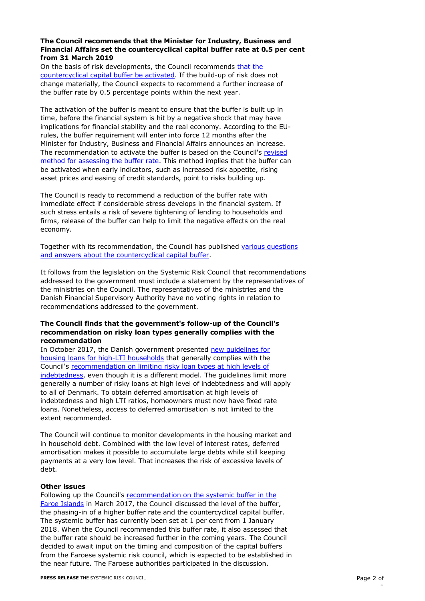## **The Council recommends that the Minister for Industry, Business and Financial Affairs set the countercyclical capital buffer rate at 0.5 per cent from 31 March 2019**

On the basis of risk developments, the Council recommends that the [countercyclical capital buffer be activated.](http://risikoraad.dk/media/1188/recommendation-on-the-countercyclical-capitalbuffer.pdf) If the build-up of risk does not change materially, the Council expects to recommend a further increase of the buffer rate by 0.5 percentage points within the next year.

The activation of the buffer is meant to ensure that the buffer is built up in time, before the financial system is hit by a negative shock that may have implications for financial stability and the real economy. According to the EUrules, the buffer requirement will enter into force 12 months after the Minister for Industry, Business and Financial Affairs announces an increase. The recommendation to activate the buffer is based on the Council's [revised](http://risikoraad.dk/media/1175/countercyclical_capital_buffer.pdf)  [method for assessing the buffer rate.](http://risikoraad.dk/media/1175/countercyclical_capital_buffer.pdf) This method implies that the buffer can be activated when early indicators, such as increased risk appetite, rising asset prices and easing of credit standards, point to risks building up.

The Council is ready to recommend a reduction of the buffer rate with immediate effect if considerable stress develops in the financial system. If such stress entails a risk of severe tightening of lending to households and firms, release of the buffer can help to limit the negative effects on the real economy.

Together with its recommendation, the Council has published [various questions](http://risikoraad.dk/media/1189/dsrr20-qa-en.pdf)  and answers about [the countercyclical capital buffer.](http://risikoraad.dk/media/1189/dsrr20-qa-en.pdf)

It follows from the legislation on the Systemic Risk Council that recommendations addressed to the government must include a statement by the representatives of the ministries on the Council. The representatives of the ministries and the Danish Financial Supervisory Authority have no voting rights in relation to recommendations addressed to the government.

## **The Council finds that the government's follow-up of the Council's recommendation on risky loan types generally complies with the recommendation**

In October 2017, the Danish government presented new guidelines for [housing loans for high-LTI households](http://em.dk/nyheder/2017/10-26-nye-retningslinjer-for-boliglaan) that generally complies with the Council's [recommendation on limiting risky loan types](http://risikoraad.dk/media/1127/recommendation_-_limiting_risky_loan_types_at_high_levels_of_indebtedness.pdf) at high levels of [indebtedness,](http://risikoraad.dk/media/1127/recommendation_-_limiting_risky_loan_types_at_high_levels_of_indebtedness.pdf) even though it is a different model. The guidelines limit more generally a number of risky loans at high level of indebtedness and will apply to all of Denmark. To obtain deferred amortisation at high levels of indebtedness and high LTI ratios, homeowners must now have fixed rate loans. Nonetheless, access to deferred amortisation is not limited to the extent recommended.

The Council will continue to monitor developments in the housing market and in household debt. Combined with the low level of interest rates, deferred amortisation makes it possible to accumulate large debts while still keeping payments at a very low level. That increases the risk of excessive levels of debt.

#### **Other issues**

Following up the Council's recommendation on the systemic buffer in the [Faroe Islands](http://risikoraad.dk/media/1125/recommendation_-_activation_of_the_systemic_risk_buffer_in_the_faroe_islands.pdf) in March 2017, the Council discussed the level of the buffer, the phasing-in of a higher buffer rate and the countercyclical capital buffer. The systemic buffer has currently been set at 1 per cent from 1 January 2018. When the Council recommended this buffer rate, it also assessed that the buffer rate should be increased further in the coming years. The Council decided to await input on the timing and composition of the capital buffers from the Faroese systemic risk council, which is expected to be established in the near future. The Faroese authorities participated in the discussion.

 $\overline{a}$